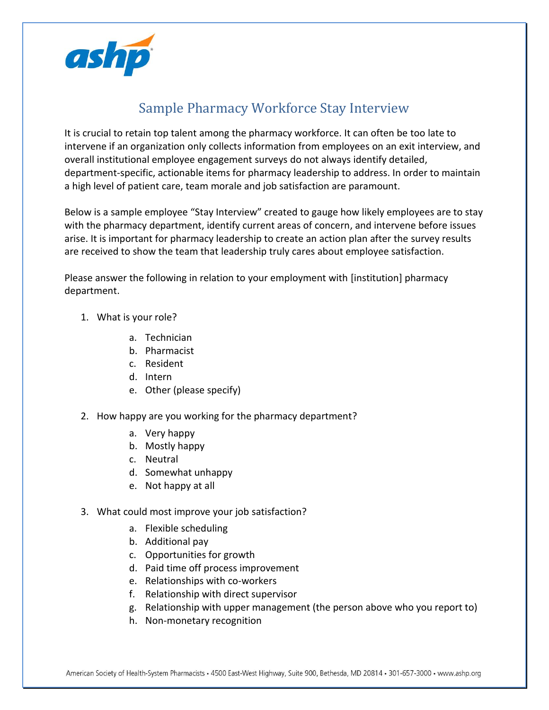

## Sample Pharmacy Workforce Stay Interview

It is crucial to retain top talent among the pharmacy workforce. It can often be too late to intervene if an organization only collects information from employees on an exit interview, and overall institutional employee engagement surveys do not always identify detailed, department-specific, actionable items for pharmacy leadership to address. In order to maintain a high level of patient care, team morale and job satisfaction are paramount.

Below is a sample employee "Stay Interview" created to gauge how likely employees are to stay with the pharmacy department, identify current areas of concern, and intervene before issues arise. It is important for pharmacy leadership to create an action plan after the survey results are received to show the team that leadership truly cares about employee satisfaction.

Please answer the following in relation to your employment with [institution] pharmacy department.

- 1. What is your role?
	- a. Technician
	- b. Pharmacist
	- c. Resident
	- d. Intern
	- e. Other (please specify)
- 2. How happy are you working for the pharmacy department?
	- a. Very happy
	- b. Mostly happy
	- c. Neutral
	- d. Somewhat unhappy
	- e. Not happy at all
- 3. What could most improve your job satisfaction?
	- a. Flexible scheduling
	- b. Additional pay
	- c. Opportunities for growth
	- d. Paid time off process improvement
	- e. Relationships with co-workers
	- f. Relationship with direct supervisor
	- g. Relationship with upper management (the person above who you report to)
	- h. Non-monetary recognition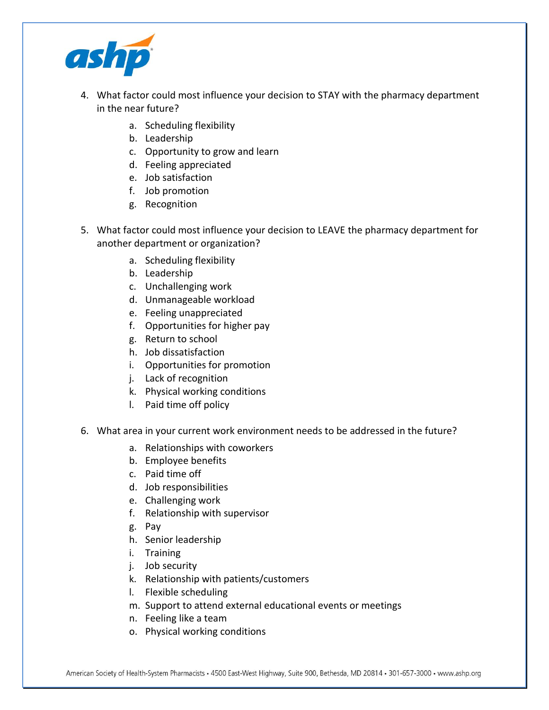

- 4. What factor could most influence your decision to STAY with the pharmacy department in the near future?
	- a. Scheduling flexibility
	- b. Leadership
	- c. Opportunity to grow and learn
	- d. Feeling appreciated
	- e. Job satisfaction
	- f. Job promotion
	- g. Recognition
- 5. What factor could most influence your decision to LEAVE the pharmacy department for another department or organization?
	- a. Scheduling flexibility
	- b. Leadership
	- c. Unchallenging work
	- d. Unmanageable workload
	- e. Feeling unappreciated
	- f. Opportunities for higher pay
	- g. Return to school
	- h. Job dissatisfaction
	- i. Opportunities for promotion
	- j. Lack of recognition
	- k. Physical working conditions
	- l. Paid time off policy
- 6. What area in your current work environment needs to be addressed in the future?
	- a. Relationships with coworkers
	- b. Employee benefits
	- c. Paid time off
	- d. Job responsibilities
	- e. Challenging work
	- f. Relationship with supervisor
	- g. Pay
	- h. Senior leadership
	- i. Training
	- j. Job security
	- k. Relationship with patients/customers
	- l. Flexible scheduling
	- m. Support to attend external educational events or meetings
	- n. Feeling like a team
	- o. Physical working conditions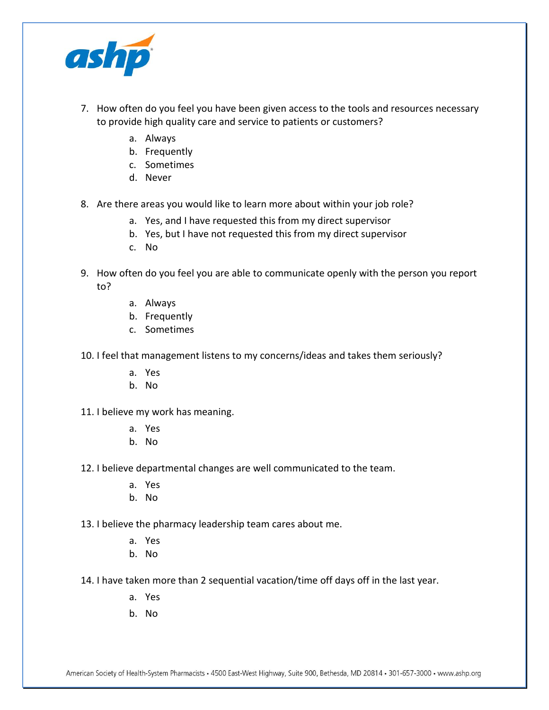

- 7. How often do you feel you have been given access to the tools and resources necessary to provide high quality care and service to patients or customers?
	- a. Always
	- b. Frequently
	- c. Sometimes
	- d. Never
- 8. Are there areas you would like to learn more about within your job role?
	- a. Yes, and I have requested this from my direct supervisor
	- b. Yes, but I have not requested this from my direct supervisor
	- c. No
- 9. How often do you feel you are able to communicate openly with the person you report to?
	- a. Always
	- b. Frequently
	- c. Sometimes
- 10. I feel that management listens to my concerns/ideas and takes them seriously?
	- a. Yes
	- b. No
- 11. I believe my work has meaning.
	- a. Yes
	- b. No
- 12. I believe departmental changes are well communicated to the team.
	- a. Yes
	- b. No
- 13. I believe the pharmacy leadership team cares about me.
	- a. Yes
	- b. No
- 14. I have taken more than 2 sequential vacation/time off days off in the last year.
	- a. Yes
	- b. No

American Society of Health-System Pharmacists • 4500 East-West Highway, Suite 900, Bethesda, MD 20814 • 301-657-3000 • www.ashp.org